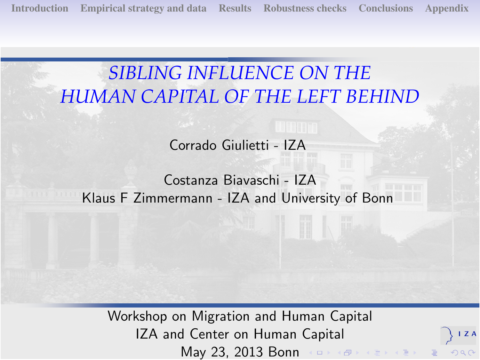[Introduction](#page-1-0) [Empirical strategy and data](#page-4-0) [Results](#page-9-0) [Robustness checks](#page-19-0) [Conclusions](#page-25-0) [Appendix](#page-27-0)

# *SIBLING INFLUENCE ON THE HUMAN CAPITAL OF THE LEFT BEHIND*

Corrado Giulietti - IZA

### Costanza Biavaschi - IZA Klaus F Zimmermann - IZA and University of Bonn

<span id="page-0-0"></span>Workshop on Migration and Human Capital IZA and Center on Human Capital May 23, 2013 Bonn (ロ) (タ) (ミ) (ミ)

ZA

 $2990$ 

 $\equiv$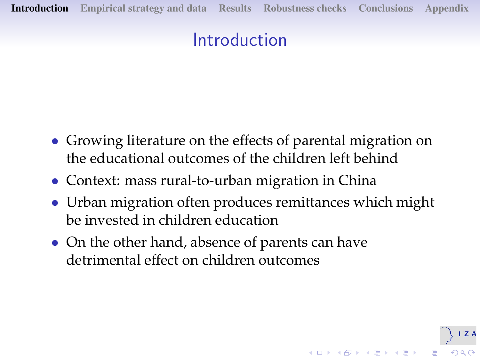# Introduction

- Growing literature on the effects of parental migration on the educational outcomes of the children left behind
- Context: mass rural-to-urban migration in China
- Urban migration often produces remittances which might be invested in children education

**K ロ ▶ K 御 ▶ K 唐 ▶ K 唐 ▶ 『唐 』** 

<span id="page-1-0"></span>• On the other hand, absence of parents can have detrimental effect on children outcomes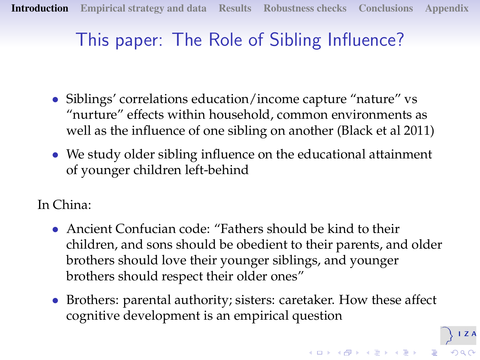# This paper: The Role of Sibling Influence?

- Siblings' correlations education/income capture "nature" vs "nurture" effects within household, common environments as well as the influence of one sibling on another (Black et al 2011)
- We study older sibling influence on the educational attainment of younger children left-behind
- In China:
	- Ancient Confucian code: "Fathers should be kind to their children, and sons should be obedient to their parents, and older brothers should love their younger siblings, and younger brothers should respect their older ones"
	- Brothers: parental authority; sisters: caretaker. How these affect cognitive development is an empirical question

 $I Z A$ 

 $2990$ 

 $\left( \begin{array}{ccc} 1 & 0 & 0 \\ 0 & 0 & 0 \\ 0 & 0 & 0 \\ 0 & 0 & 0 \\ 0 & 0 & 0 \\ 0 & 0 & 0 \\ 0 & 0 & 0 \\ 0 & 0 & 0 \\ 0 & 0 & 0 \\ 0 & 0 & 0 \\ 0 & 0 & 0 \\ 0 & 0 & 0 \\ 0 & 0 & 0 \\ 0 & 0 & 0 \\ 0 & 0 & 0 \\ 0 & 0 & 0 \\ 0 & 0 & 0 & 0 \\ 0 & 0 & 0 & 0 \\ 0 & 0 & 0 & 0 \\ 0 & 0 & 0 & 0 \\ 0 & 0 & 0 & 0 \\ 0 & 0 &$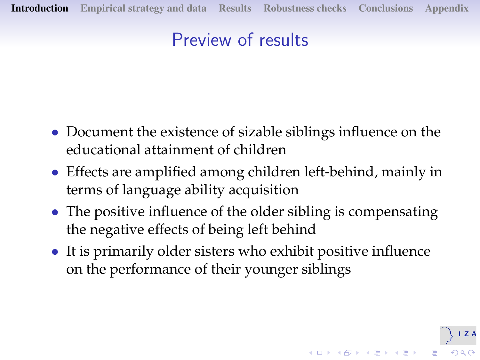# Preview of results

- Document the existence of sizable siblings influence on the educational attainment of children
- Effects are amplified among children left-behind, mainly in terms of language ability acquisition
- The positive influence of the older sibling is compensating the negative effects of being left behind
- <span id="page-3-0"></span>• It is primarily older sisters who exhibit positive influence on the performance of their younger siblings

**K ロ ▶ K 御 ▶ K 唐 ▶ K 唐 ▶ 『唐 』**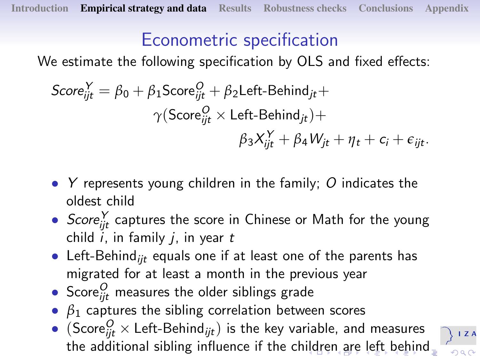# Econometric specification

We estimate the following specification by OLS and fixed effects:

$$
Score_{ijt}^{Y} = \beta_0 + \beta_1 Score_{ijt}^{O} + \beta_2 Left-Behind_{jt} + \gamma (Score_{ijt}^{O} \times Left-Behind_{jt}) + \beta_3 X_{ijt}^{Y} + \beta_4 W_{jt} + \eta_t + c_i + \epsilon_{ijt}.
$$

- Y represents young children in the family;  $O$  indicates the oldest child
- $Score_{ijt}^{\gamma}$  captures the score in Chinese or Math for the young child  $i$ , in family  $i$ , in year  $t$
- Left-Behind<sub>iit</sub> equals one if at least one of the parents has migrated for at least a month in the previous year
- $\bullet$  Score $^O_{ijt}$  measures the older siblings grade
- $\theta_1$  captures the sibling correlation between scores
- <span id="page-4-0"></span> $\bullet \ \ (\mathsf{Score}^O_{ijt} \times \mathsf{Left}\text{-}\mathsf{Behind}_{ijt})$  is the key variable, and measures the additional sibling influence if the ch[ild](#page-3-0)r[en](#page-5-0) [ar](#page-4-0)[e](#page-4-0) [l](#page-3-0)e[ft](#page-8-0)[b](#page-3-0)e[h](#page-8-0)[in](#page-9-0)[d](#page-0-0)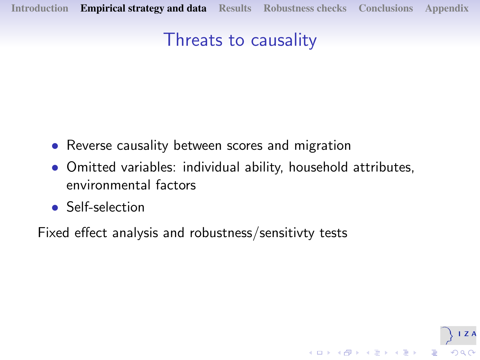[Introduction](#page-1-0) [Empirical strategy and data](#page-4-0) [Results](#page-9-0) [Robustness checks](#page-19-0) [Conclusions](#page-25-0) [Appendix](#page-27-0)

# Threats to causality

- Reverse causality between scores and migration
- Omitted variables: individual ability, household attributes, environmental factors

 $(1 - 1)$   $(1 - 1)$   $(1 - 1)$   $(1 - 1)$   $(1 - 1)$   $(1 - 1)$   $(1 - 1)$   $(1 - 1)$   $(1 - 1)$   $(1 - 1)$ 

 $\equiv$   $\Omega Q$ 

• Self-selection

<span id="page-5-0"></span>Fixed effect analysis and robustness/sensitivty tests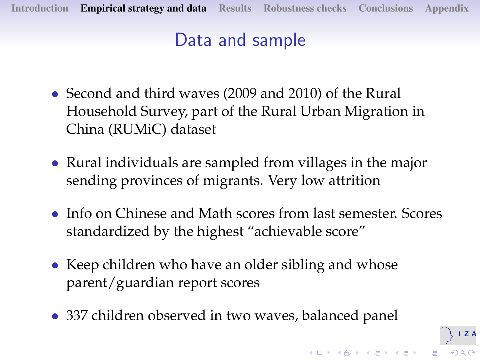# Data and sample

- Second and third waves (2009 and 2010) of the Rural Household Survey, part of the Rural Urban Migration in China (RUMiC) dataset
- Rural individuals are sampled from villages in the major sending provinces of migrants. Very low attrition
- Info on Chinese and Math scores from last semester. Scores standardized by the highest "achievable score"

 $\overline{I}$  Z A

 $2Q$ 

.<br>K ロ ▶ K @ ▶ K 경 ▶ K 경 ▶ │ 경

- Keep children who have an older sibling and whose parent/guardian report scores
- 337 children observed in two waves, balanced panel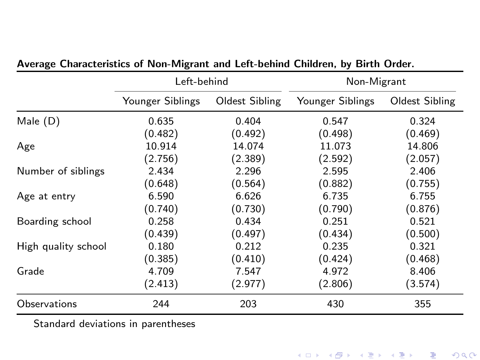|                     | Left-behind      |                | Non-Migrant      |                |
|---------------------|------------------|----------------|------------------|----------------|
|                     | Younger Siblings | Oldest Sibling | Younger Siblings | Oldest Sibling |
| Male $(D)$          | 0.635            | 0.404          | 0.547            | 0.324          |
|                     | (0.482)          | (0.492)        | (0.498)          | (0.469)        |
| Age                 | 10.914           | 14.074         | 11.073           | 14.806         |
|                     | (2.756)          | (2.389)        | (2.592)          | (2.057)        |
| Number of siblings  | 2.434            | 2.296          | 2.595            | 2.406          |
|                     | (0.648)          | (0.564)        | (0.882)          | (0.755)        |
| Age at entry        | 6.590            | 6.626          | 6.735            | 6.755          |
|                     | (0.740)          | (0.730)        | (0.790)          | (0.876)        |
| Boarding school     | 0.258            | 0.434          | 0.251            | 0.521          |
|                     | (0.439)          | (0.497)        | (0.434)          | (0.500)        |
| High quality school | 0.180            | 0.212          | 0.235            | 0.321          |
|                     | (0.385)          | (0.410)        | (0.424)          | (0.468)        |
| Grade               | 4.709            | 7.547          | 4.972            | 8.406          |
|                     | (2.413)          | (2.977)        | (2.806)          | (3.574)        |
| Observations        | 244              | 203            | 430              | 355            |

#### Average Characteristics of Non-Migrant and Left-behind Children, by Birth Order.

Standard deviations in parentheses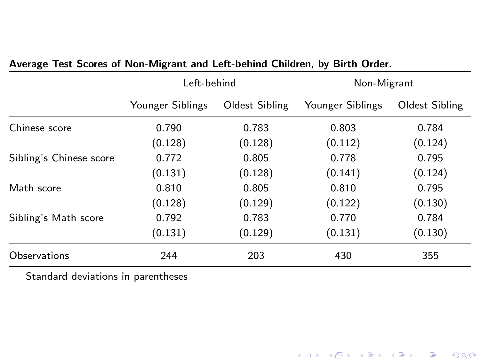|                         | Left-behind      |                | Non-Migrant      |                |
|-------------------------|------------------|----------------|------------------|----------------|
|                         | Younger Siblings | Oldest Sibling | Younger Siblings | Oldest Sibling |
| Chinese score           | 0.790            | 0.783          | 0.803            | 0.784          |
|                         | (0.128)          | (0.128)        | (0.112)          | (0.124)        |
| Sibling's Chinese score | 0.772            | 0.805          | 0.778            | 0.795          |
|                         | (0.131)          | (0.128)        | (0.141)          | (0.124)        |
| Math score              | 0.810            | 0.805          | 0.810            | 0.795          |
|                         | (0.128)          | (0.129)        | (0.122)          | (0.130)        |
| Sibling's Math score    | 0.792            | 0.783          | 0.770            | 0.784          |
|                         | (0.131)          | (0.129)        | (0.131)          | (0.130)        |
| Observations            | 244              | 203            | 430              | 355            |

#### Average Test Scores of Non-Migrant and Left-behind Children, by Birth Order.

<span id="page-8-0"></span>Standard deviations in parentheses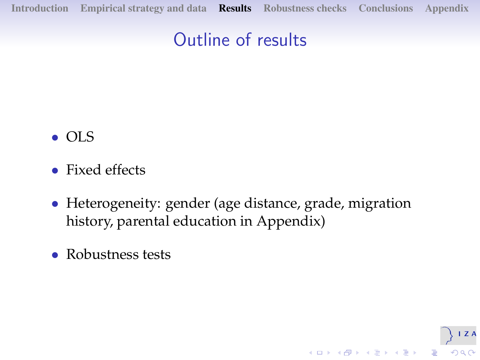[Introduction](#page-1-0) [Empirical strategy and data](#page-4-0) [Results](#page-9-0) [Robustness checks](#page-19-0) [Conclusions](#page-25-0) [Appendix](#page-27-0)

# Outline of results

- OLS
- Fixed effects
- Heterogeneity: gender (age distance, grade, migration history, parental education in Appendix)

ZA

<span id="page-9-0"></span>• Robustness tests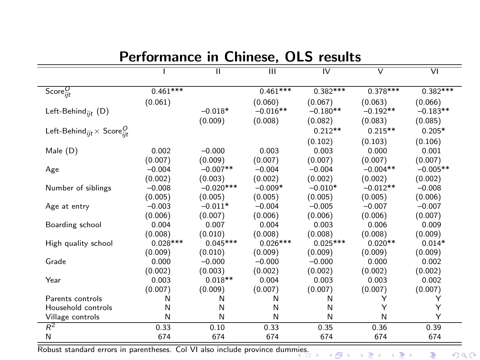|                                                        |            | π           | $\overline{\mathbf{m}}$ | $\overline{N}$ | $\overline{\mathsf{v}}$ | $\overline{VI}$ |
|--------------------------------------------------------|------------|-------------|-------------------------|----------------|-------------------------|-----------------|
| Score $_{ijt}^O$                                       | $0.461***$ |             | $0.461***$              | $0.382***$     | $0.378***$              | $0.382***$      |
|                                                        | (0.061)    |             | (0.060)                 | (0.067)        | (0.063)                 | (0.066)         |
| Left-Behind <sub>iit</sub> $(D)$                       |            | $-0.018*$   | $-0.016**$              | $-0.180**$     | $-0.192**$              | $-0.183**$      |
|                                                        |            | (0.009)     | (0.008)                 | (0.082)        | (0.083)                 | (0.085)         |
| Left-Behind <sub>iit</sub> $\times$ Score <sup>0</sup> |            |             |                         | $0.212**$      | $0.215**$               | $0.205*$        |
|                                                        |            |             |                         | (0.102)        | (0.103)                 | (0.106)         |
| Male (D)                                               | 0.002      | $-0.000$    | 0.003                   | 0.003          | 0.000                   | 0.001           |
|                                                        | (0.007)    | (0.009)     | (0.007)                 | (0.007)        | (0.007)                 | (0.007)         |
| Age                                                    | $-0.004$   | $-0.007**$  | $-0.004$                | $-0.004$       | $-0.004**$              | $-0.005**$      |
|                                                        | (0.002)    | (0.003)     | (0.002)                 | (0.002)        | (0.002)                 | (0.002)         |
| Number of siblings                                     | $-0.008$   | $-0.020***$ | $-0.009*$               | $-0.010*$      | $-0.012**$              | $-0.008$        |
|                                                        | (0.005)    | (0.005)     | (0.005)                 | (0.005)        | (0.005)                 | (0.006)         |
| Age at entry                                           | $-0.003$   | $-0.011*$   | $-0.004$                | $-0.005$       | $-0.007$                | $-0.007$        |
|                                                        | (0.006)    | (0.007)     | (0.006)                 | (0.006)        | (0.006)                 | (0.007)         |
| Boarding school                                        | 0.004      | 0.007       | 0.004                   | 0.003          | 0.006                   | 0.009           |
|                                                        | (0.008)    | (0.010)     | (0.008)                 | (0.008)        | (0.008)                 | (0.009)         |
| High quality school                                    | $0.028***$ | $0.045***$  | $0.026***$              | $0.025***$     | $0.020**$               | $0.014*$        |
|                                                        | (0.009)    | (0.010)     | (0.009)                 | (0.009)        | (0.009)                 | (0.009)         |
| Grade                                                  | 0.000      | $-0.000$    | $-0.000$                | $-0.000$       | 0.000                   | 0.002           |
|                                                        | (0.002)    | (0.003)     | (0.002)                 | (0.002)        | (0.002)                 | (0.002)         |
| Year                                                   | 0.003      | $0.018**$   | 0.004                   | 0.003          | 0.003                   | 0.002           |
|                                                        | (0.007)    | (0.009)     | (0.007)                 | (0.007)        | (0.007)                 | (0.007)         |
| Parents controls                                       | N          | N           | Ν                       | N              | Y                       | Y               |
| Household controls                                     | N          | N           | N                       | N              | Y                       | Υ               |
| Village controls                                       | N          | N           | N                       | N              | N                       | Υ               |
| $R^2$                                                  | 0.33       | 0.10        | 0.33                    | 0.35           | 0.36                    | 0.39            |
| N                                                      | 674        | 674         | 674                     | 674            | 674                     | 674             |

#### Performance in Chinese, OLS results

<span id="page-10-0"></span>Robust standard errors in parentheses. Col VI also include province dum[mies](#page-9-0).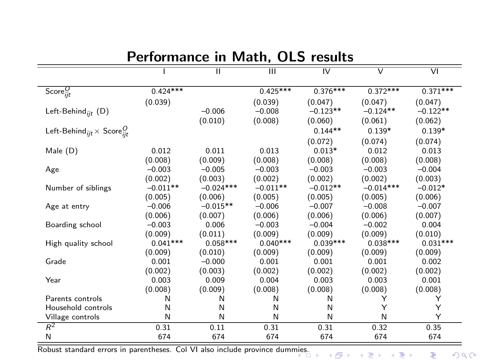|                                                      |            | π           | $\overline{\mathbf{m}}$ | $\overline{N}$ | $\overline{\mathsf{v}}$ | $\overline{VI}$ |
|------------------------------------------------------|------------|-------------|-------------------------|----------------|-------------------------|-----------------|
| Score $_{ijt}^O$                                     | $0.424***$ |             | $0.425***$              | $0.376***$     | $0.372***$              | $0.371***$      |
|                                                      | (0.039)    |             | (0.039)                 | (0.047)        | (0.047)                 | (0.047)         |
| Left-Behind <sub>iit</sub> $(D)$                     |            | $-0.006$    | $-0.008$                | $-0.123**$     | $-0.124**$              | $-0.122**$      |
|                                                      |            | (0.010)     | (0.008)                 | (0.060)        | (0.061)                 | (0.062)         |
| Left-Behind <sub>ijt</sub> $\times$ Score $_{iit}^O$ |            |             |                         | $0.144**$      | $0.139*$                | $0.139*$        |
|                                                      |            |             |                         | (0.072)        | (0.074)                 | (0.074)         |
| Male (D)                                             | 0.012      | 0.011       | 0.013                   | $0.013*$       | 0.012                   | 0.013           |
|                                                      | (0.008)    | (0.009)     | (0.008)                 | (0.008)        | (0.008)                 | (0.008)         |
| Age                                                  | $-0.003$   | $-0.005$    | $-0.003$                | $-0.003$       | $-0.003$                | $-0.004$        |
|                                                      | (0.002)    | (0.003)     | (0.002)                 | (0.002)        | (0.002)                 | (0.003)         |
| Number of siblings                                   | $-0.011**$ | $-0.024***$ | $-0.011**$              | $-0.012**$     | $-0.014***$             | $-0.012*$       |
|                                                      | (0.005)    | (0.006)     | (0.005)                 | (0.005)        | (0.005)                 | (0.006)         |
| Age at entry                                         | $-0.006$   | $-0.015**$  | $-0.006$                | $-0.007$       | $-0.008$                | $-0.007$        |
|                                                      | (0.006)    | (0.007)     | (0.006)                 | (0.006)        | (0.006)                 | (0.007)         |
| Boarding school                                      | $-0.003$   | 0.006       | $-0.003$                | $-0.004$       | $-0.002$                | 0.004           |
|                                                      | (0.009)    | (0.011)     | (0.009)                 | (0.009)        | (0.009)                 | (0.010)         |
| High quality school                                  | $0.041***$ | $0.058***$  | $0.040***$              | $0.039***$     | $0.038***$              | $0.031***$      |
|                                                      | (0.009)    | (0.010)     | (0.009)                 | (0.009)        | (0.009)                 | (0.009)         |
| Grade                                                | 0.001      | $-0.000$    | 0.001                   | 0.001          | 0.001                   | 0.002           |
|                                                      | (0.002)    | (0.003)     | (0.002)                 | (0.002)        | (0.002)                 | (0.002)         |
| Year                                                 | 0.003      | 0.009       | 0.004                   | 0.003          | 0.003                   | 0.001           |
|                                                      | (0.008)    | (0.009)     | (0.008)                 | (0.008)        | (0.008)                 | (0.008)         |
| Parents controls                                     | N          | N           | Ν                       | N              | Y                       | Y               |
| Household controls                                   | N          | N           | N                       | N              | Y                       | Υ               |
| Village controls                                     | N          | N           | N                       | N              | N                       | Υ               |
| $R^2$                                                | 0.31       | 0.11        | 0.31                    | 0.31           | 0.32                    | 0.35            |
| N                                                    | 674        | 674         | 674                     | 674            | 674                     | 674             |

### Performance in Math, OLS results

Robust standard errors in parentheses. Col VI also include province dum[mies](#page-10-0).

重  $299$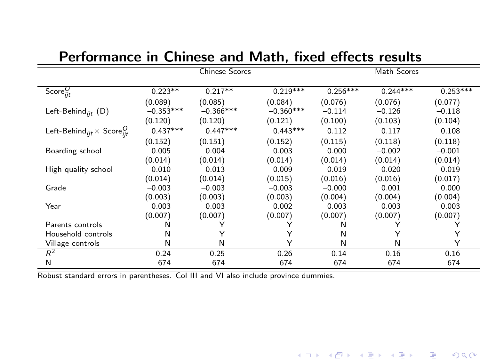|                                                               |             | <b>Chinese Scores</b> |             |            | Math Scores |            |
|---------------------------------------------------------------|-------------|-----------------------|-------------|------------|-------------|------------|
| Score $_{iit}^{O}$                                            | $0.223**$   | $0.217**$             | $0.219***$  | $0.256***$ | $0.244***$  | $0.253***$ |
|                                                               |             |                       |             |            |             |            |
|                                                               | (0.089)     | (0.085)               | (0.084)     | (0.076)    | (0.076)     | (0.077)    |
| Left-Behind <sub>iit</sub> $(D)$                              | $-0.353***$ | $-0.366***$           | $-0.360***$ | $-0.114$   | $-0.126$    | $-0.118$   |
|                                                               | (0.120)     | (0.120)               | (0.121)     | (0.100)    | (0.103)     | (0.104)    |
| Left-Behind <sub>iit</sub> $\times$ Score <sup><i>C</i></sup> | $0.437***$  | $0.447***$            | $0.443***$  | 0.112      | 0.117       | 0.108      |
|                                                               | (0.152)     | (0.151)               | (0.152)     | (0.115)    | (0.118)     | (0.118)    |
| Boarding school                                               | 0.005       | 0.004                 | 0.003       | 0.000      | $-0.002$    | $-0.001$   |
|                                                               | (0.014)     | (0.014)               | (0.014)     | (0.014)    | (0.014)     | (0.014)    |
| High quality school                                           | 0.010       | 0.013                 | 0.009       | 0.019      | 0.020       | 0.019      |
|                                                               | (0.014)     | (0.014)               | (0.015)     | (0.016)    | (0.016)     | (0.017)    |
| Grade                                                         | $-0.003$    | $-0.003$              | $-0.003$    | $-0.000$   | 0.001       | 0.000      |
|                                                               | (0.003)     | (0.003)               | (0.003)     | (0.004)    | (0.004)     | (0.004)    |
| Year                                                          | 0.003       | 0.003                 | 0.002       | 0.003      | 0.003       | 0.003      |
|                                                               | (0.007)     | (0.007)               | (0.007)     | (0.007)    | (0.007)     | (0.007)    |
| Parents controls                                              | N           | Υ                     |             | N          |             |            |
| Household controls                                            | N           | Y                     | Υ           | N          | Y           | Y          |
| Village controls                                              | N           | N                     | Υ           | N          | N           | Υ          |
| $R^2$                                                         | 0.24        | 0.25                  | 0.26        | 0.14       | 0.16        | 0.16       |
| N                                                             | 674         | 674                   | 674         | 674        | 674         | 674        |

#### Performance in Chinese and Math, fixed effects results

Robust standard errors in parentheses. Col III and VI also include province dummies.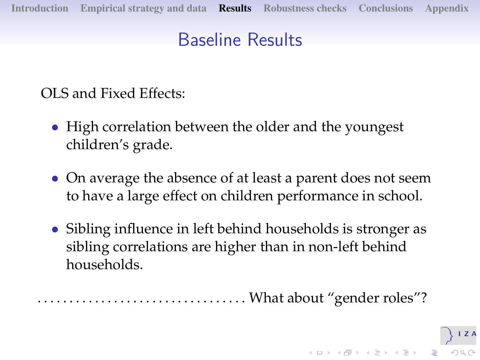# Baseline Results

<span id="page-13-0"></span>OLS and Fixed Effects:

- High correlation between the older and the youngest children's grade.
- On average the absence of at least a parent does not seem to have a large effect on children performance in school.
- Sibling influence in left behind households is stronger as sibling correlations are higher than in non-left behind households.

. . . . . . . . . . . . . . . . . . . . . . . . . . . . . . . . . What about "gender roles"?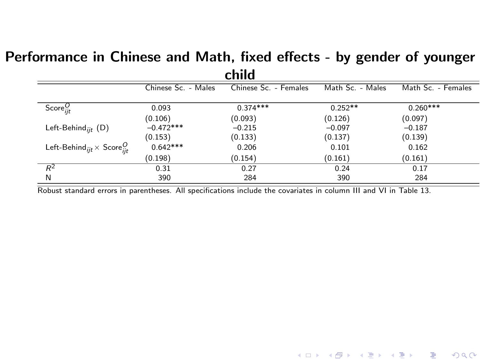#### Performance in Chinese and Math, fixed effects - by gender of younger child

| чши                                                           |                     |                       |                  |                    |  |  |  |
|---------------------------------------------------------------|---------------------|-----------------------|------------------|--------------------|--|--|--|
|                                                               | Chinese Sc. - Males | Chinese Sc. - Females | Math Sc. - Males | Math Sc. - Females |  |  |  |
| Score $_{ijt}^O$                                              | 0.093               | $0.374***$            | $0.252**$        | $0.260***$         |  |  |  |
|                                                               | (0.106)             | (0.093)               | (0.126)          | (0.097)            |  |  |  |
| Left-Behind <sub>iit</sub> $(D)$                              | $-0.472***$         | $-0.215$              | $-0.097$         | $-0.187$           |  |  |  |
|                                                               | (0.153)             | (0.133)               | (0.137)          | (0.139)            |  |  |  |
| Left-Behind <sub>ijt</sub> $\times$ Score <sup><i>O</i></sup> | $0.642***$          | 0.206                 | 0.101            | 0.162              |  |  |  |
|                                                               | (0.198)             | (0.154)               | (0.161)          | (0.161)            |  |  |  |
| $R^2$                                                         | 0.31                | 0.27                  | 0.24             | 0.17               |  |  |  |
| N                                                             | 390                 | 284                   | 390              | 284                |  |  |  |

(ロ) (個) (目) (目) (目) 目 のQC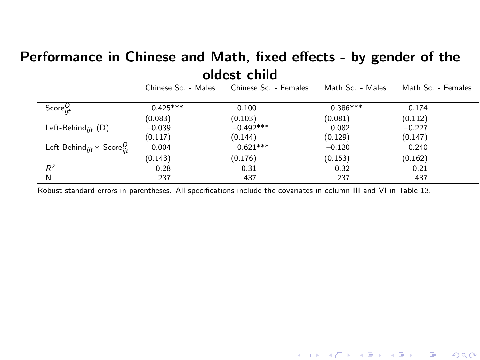#### Performance in Chinese and Math, fixed effects - by gender of the oldest child

| viucol ciliu                                           |                     |                       |                  |                    |  |  |  |  |
|--------------------------------------------------------|---------------------|-----------------------|------------------|--------------------|--|--|--|--|
|                                                        | Chinese Sc. - Males | Chinese Sc. - Females | Math Sc. - Males | Math Sc. - Females |  |  |  |  |
| Score $_{iit}^{O}$                                     | $0.425***$          | 0.100                 | $0.386***$       | 0.174              |  |  |  |  |
|                                                        | (0.083)             | (0.103)               | (0.081)          | (0.112)            |  |  |  |  |
| Left-Behind <sub>iit</sub> $(D)$                       | $-0.039$            | $-0.492***$           | 0.082            | $-0.227$           |  |  |  |  |
|                                                        | (0.117)             | (0.144)               | (0.129)          | (0.147)            |  |  |  |  |
| Left-Behind <sub>ijt</sub> $\times$ Score <sup>U</sup> | 0.004               | $0.621***$            | $-0.120$         | 0.240              |  |  |  |  |
|                                                        | (0.143)             | (0.176)               | (0.153)          | (0.162)            |  |  |  |  |
| $R^2$                                                  | 0.28                | 0.31                  | 0.32             | 0.21               |  |  |  |  |
| N                                                      | 237                 | 437                   | 237              | 437                |  |  |  |  |
|                                                        |                     |                       |                  |                    |  |  |  |  |

(ロ) (御) (君) (君) (君) 君 のぬの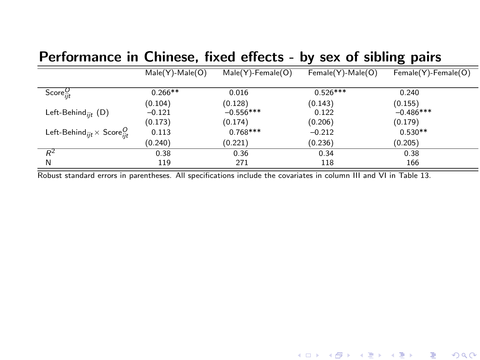## Performance in Chinese, fixed effects - by sex of sibling pairs

|                                                          | $Male(Y)$ -Male $(O)$ | $Male(Y)$ -Female $(O)$ | Female(Y)-Male(O) | Female(Y)-Female(O) |
|----------------------------------------------------------|-----------------------|-------------------------|-------------------|---------------------|
|                                                          |                       |                         |                   |                     |
| Score $_{ijt}^{O}$                                       | $0.266**$             | 0.016                   | $0.526***$        | 0.240               |
|                                                          | (0.104)               | (0.128)                 | (0.143)           | (0.155)             |
| Left-Behind <sub>iit</sub> (D)                           | $-0.121$              | $-0.556***$             | 0.122             | $-0.486***$         |
|                                                          | (0.173)               | (0.174)                 | (0.206)           | (0.179)             |
| Left-Behind <sub>ijt</sub> $\times$ Score <sub>iit</sub> | 0.113                 | $0.768***$              | $-0.212$          | $0.530**$           |
|                                                          | (0.240)               | (0.221)                 | (0.236)           | (0.205)             |
| $R^2$                                                    | 0.38                  | 0.36                    | 0.34              | 0.38                |
| N                                                        | 119                   | 271                     | 118               | 166                 |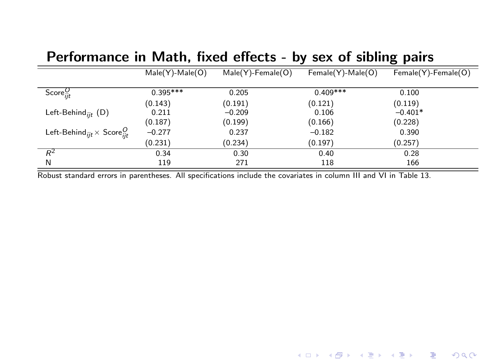|                                                               | $Male(Y)$ -Male $(O)$ | $Male(Y)$ -Female $(O)$ | Female(Y)-Male(O) | Female(Y)-Female(O) |
|---------------------------------------------------------------|-----------------------|-------------------------|-------------------|---------------------|
| Score $_{ijt}^{O}$                                            | $0.395***$            | 0.205                   | $0.409***$        | 0.100               |
|                                                               | (0.143)               | (0.191)                 | (0.121)           | (0.119)             |
| Left-Behind <sub>iit</sub> (D)                                | 0.211                 | $-0.209$                | 0.106             | $-0.401*$           |
|                                                               | (0.187)               | (0.199)                 | (0.166)           | (0.228)             |
| Left-Behind <sub>iit</sub> $\times$ Score <sup><i>U</i></sup> | $-0.277$              | 0.237                   | $-0.182$          | 0.390               |
|                                                               | (0.231)               | (0.234)                 | (0.197)           | (0.257)             |
| $R^2$                                                         | 0.34                  | 0.30                    | 0.40              | 0.28                |
| N                                                             | 119                   | 271                     | 118               | 166                 |

## Performance in Math, fixed effects - by sex of sibling pairs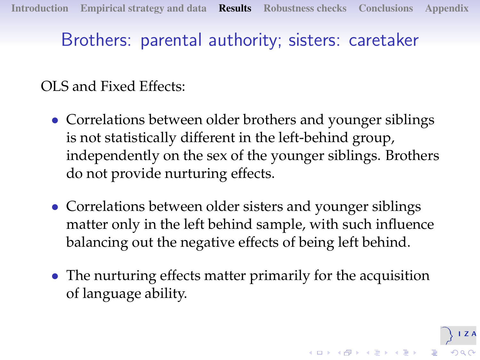# Brothers: parental authority; sisters: caretaker

## OLS and Fixed Effects:

- Correlations between older brothers and younger siblings is not statistically different in the left-behind group, independently on the sex of the younger siblings. Brothers do not provide nurturing effects.
- Correlations between older sisters and younger siblings matter only in the left behind sample, with such influence balancing out the negative effects of being left behind.
- <span id="page-18-0"></span>• The nurturing effects matter primarily for the acquisition of language ability.

Z A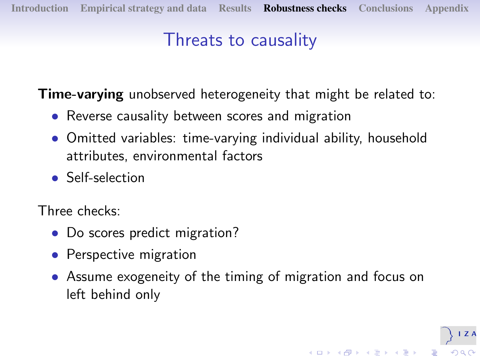# Threats to causality

**Time-varying** unobserved heterogeneity that might be related to:

- Reverse causality between scores and migration
- Omitted variables: time-varying individual ability, household attributes, environmental factors
- Self-selection

Three checks:

- Do scores predict migration?
- Perspective migration
- <span id="page-19-0"></span>• Assume exogeneity of the timing of migration and focus on left behind only

 $\mathbb{R}^{n-1}$  $2990$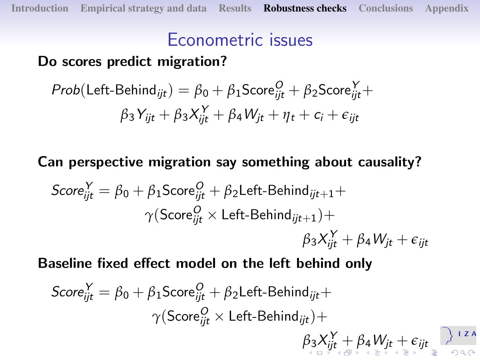# Econometric issues

## Do scores predict migration?

$$
Prob(\text{Left-Behind}_{ijt}) = \beta_0 + \beta_1 \text{Score}_{ijt}^O + \beta_2 \text{Score}_{ijt}^V + \beta_3 Y_{ijt} + \beta_3 X_{ijt}^V + \beta_4 W_{jt} + \eta_t + c_i + \epsilon_{ijt}
$$

## Can perspective migration say something about causality?

$$
Score_{ijt}^{Y} = \beta_0 + \beta_1 Score_{ijt}^{O} + \beta_2 Left-Behind_{ijt+1} + \gamma (Score_{ijt}^{O} \times Left-Behind_{ijt+1}) + \beta_3 X_{ijt}^{Y} + \beta_4 W_{jt} + \epsilon_{ijt}
$$

Baseline fixed effect model on the left behind only

<span id="page-20-0"></span>
$$
Score_{ijt}^{Y} = \beta_0 + \beta_1 \text{Score}_{ijt}^{O} + \beta_2 \text{Left-Behind}_{ijt} + \gamma (\text{Score}_{ijt}^{O} \times \text{Left-Behind}_{ijt}) + \beta_3 X_{ijt}^{Y} + \beta_4 W_{jt} + \epsilon_{ijt} \sum_{i=1}^{j+2A} \beta_i \alpha_i^{O}
$$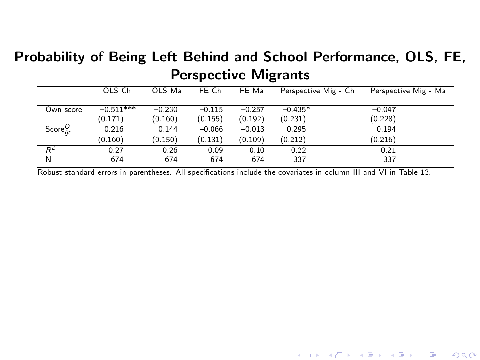## Probability of Being Left Behind and School Performance, OLS, FE, Perspective Migrants

|                  | OLS Ch      | OLS Ma   | FE Ch    | FE Ma    | Perspective Mig - Ch | Perspective Mig - Ma |
|------------------|-------------|----------|----------|----------|----------------------|----------------------|
| Own score        | $-0.511***$ | $-0.230$ | $-0.115$ | $-0.257$ | $-0.435*$            | $-0.047$             |
|                  | (0.171)     | (0.160)  | (0.155)  | (0.192)  | (0.231)              | (0.228)              |
| Score $_{ijt}^O$ | 0.216       | 0.144    | $-0.066$ | $-0.013$ | 0.295                | 0.194                |
|                  | (0.160)     | (0.150)  | (0.131)  | (0.109)  | (0.212)              | (0.216)              |
| $R^2$            | 0.27        | 0.26     | 0.09     | 0.10     | 0.22                 | 0.21                 |
| N                | 674         | 674      | 674      | 674      | 337                  | 337                  |

<span id="page-21-0"></span>(ロ) (御) (君) (君) (君) 君 のぬの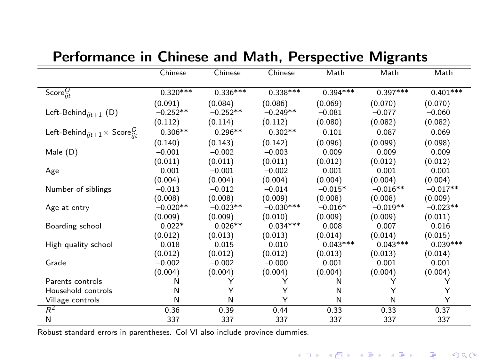|                                                                                | Chinese    | Chinese    | Chinese     | Math       | Math       | Math       |
|--------------------------------------------------------------------------------|------------|------------|-------------|------------|------------|------------|
| Score $_{ijt}^O$                                                               | $0.320***$ | $0.336***$ | $0.338***$  | $0.394***$ | $0.397***$ | $0.401***$ |
|                                                                                | (0.091)    | (0.084)    | (0.086)     | (0.069)    | (0.070)    | (0.070)    |
| Left-Behind $_{iit+1}$ (D)                                                     | $-0.252**$ | $-0.252**$ | $-0.249**$  | $-0.081$   | $-0.077$   | $-0.060$   |
|                                                                                | (0.112)    | (0.114)    | (0.112)     | (0.080)    | (0.082)    | (0.082)    |
| Left-Behind <sub>iit+1</sub> $\times$ Score <sup><i>O</i></sup> <sub>iit</sub> | $0.306**$  | $0.296**$  | $0.302**$   | 0.101      | 0.087      | 0.069      |
|                                                                                | (0.140)    | (0.143)    | (0.142)     | (0.096)    | (0.099)    | (0.098)    |
| Male (D)                                                                       | $-0.001$   | $-0.002$   | $-0.003$    | 0.009      | 0.009      | 0.009      |
|                                                                                | (0.011)    | (0.011)    | (0.011)     | (0.012)    | (0.012)    | (0.012)    |
| Age                                                                            | 0.001      | $-0.001$   | $-0.002$    | 0.001      | 0.001      | 0.001      |
|                                                                                | (0.004)    | (0.004)    | (0.004)     | (0.004)    | (0.004)    | (0.004)    |
| Number of siblings                                                             | $-0.013$   | $-0.012$   | $-0.014$    | $-0.015*$  | $-0.016**$ | $-0.017**$ |
|                                                                                | (0.008)    | (0.008)    | (0.009)     | (0.008)    | (0.008)    | (0.009)    |
| Age at entry                                                                   | $-0.020**$ | $-0.023**$ | $-0.030***$ | $-0.016*$  | $-0.019**$ | $-0.023**$ |
|                                                                                | (0.009)    | (0.009)    | (0.010)     | (0.009)    | (0.009)    | (0.011)    |
| Boarding school                                                                | $0.022*$   | $0.026**$  | $0.034***$  | 0.008      | 0.007      | 0.016      |
|                                                                                | (0.012)    | (0.013)    | (0.013)     | (0.014)    | (0.014)    | (0.015)    |
| High quality school                                                            | 0.018      | 0.015      | 0.010       | $0.043***$ | $0.043***$ | $0.039***$ |
|                                                                                | (0.012)    | (0.012)    | (0.012)     | (0.013)    | (0.013)    | (0.014)    |
| Grade                                                                          | $-0.002$   | $-0.002$   | $-0.000$    | 0.001      | 0.001      | 0.001      |
|                                                                                | (0.004)    | (0.004)    | (0.004)     | (0.004)    | (0.004)    | (0.004)    |
| Parents controls                                                               | Ν          | Y          | Y           | Ν          | Y          | Y          |
| Household controls                                                             | Ν          | Y          | Υ           | N          | Υ          | Υ          |
| Village controls                                                               | N          | N          | Υ           | N          | N          | Υ          |
| $R^2$                                                                          | 0.36       | 0.39       | 0.44        | 0.33       | 0.33       | 0.37       |
| N                                                                              | 337        | 337        | 337         | 337        | 337        | 337        |

### Performance in Chinese and Math, Perspective Migrants

Robust standard errors in parentheses. Col VI also include province dummies.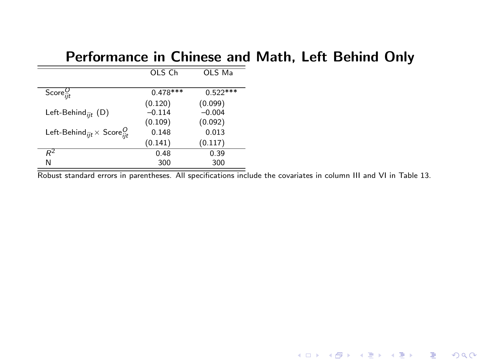### Performance in Chinese and Math, Left Behind Only

|                                                         | OLS Ch              | OLS Ma              |
|---------------------------------------------------------|---------------------|---------------------|
| Score $_{iit}^{O}$                                      | $0.478***$          | $0.522***$          |
| Left-Behind <sub>iit</sub> (D)                          | (0.120)<br>$-0.114$ | (0.099)<br>$-0.004$ |
|                                                         | (0.109)             | (0.092)             |
| Left-Behind <sub>ijt</sub> $\times$ Score $\frac{O}{i}$ | 0.148<br>(0.141)    | 0.013<br>(0.117)    |
| $R^2$                                                   | 0.48                | 0.39                |
| N                                                       | 300                 | 300                 |

Robust standard errors in parentheses. All specifications include the covariates in column III and VI in Table [13.](#page-13-0)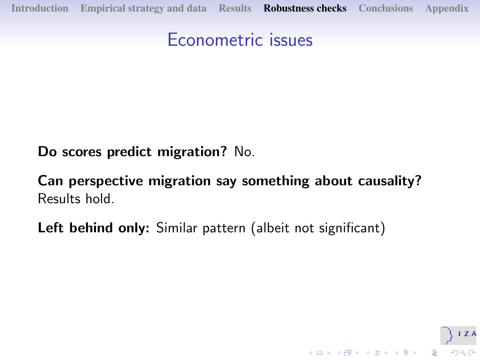## Econometric issues

Do scores predict migration? No.

Can perspective migration say something about causality? Results hold.

<span id="page-24-0"></span>Left behind only: Similar pattern (albeit not significant)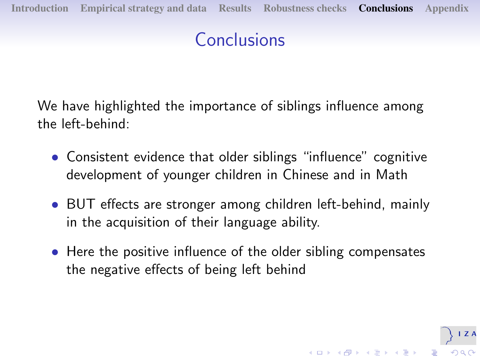# Conclusions

We have highlighted the importance of siblings influence among the left-behind:

- Consistent evidence that older siblings "influence" cognitive development of younger children in Chinese and in Math
- BUT effects are stronger among children left-behind, mainly in the acquisition of their language ability.
- <span id="page-25-0"></span>• Here the positive influence of the older sibling compensates the negative effects of being left behind

 $(1 - \epsilon)$  and  $(1 - \epsilon)$  and  $(1 - \epsilon)$ 

 $\mathbb{R}^{n-1}$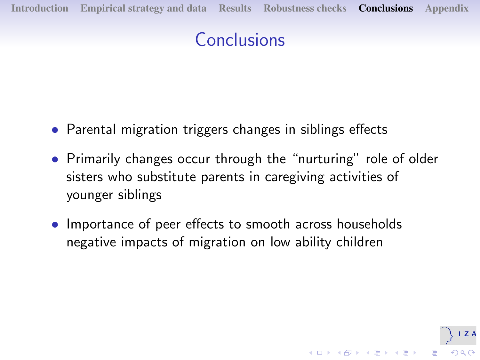# Conclusions

- Parental migration triggers changes in siblings effects
- Primarily changes occur through the "nurturing" role of older sisters who substitute parents in caregiving activities of younger siblings

 $\left\{ \begin{array}{ccc} 1 & 0 & 0 \\ 0 & 1 & 0 \\ 0 & 0 & 0 \\ 0 & 0 & 0 \\ 0 & 0 & 0 \\ 0 & 0 & 0 \\ 0 & 0 & 0 \\ 0 & 0 & 0 \\ 0 & 0 & 0 \\ 0 & 0 & 0 \\ 0 & 0 & 0 \\ 0 & 0 & 0 \\ 0 & 0 & 0 \\ 0 & 0 & 0 \\ 0 & 0 & 0 & 0 \\ 0 & 0 & 0 & 0 \\ 0 & 0 & 0 & 0 \\ 0 & 0 & 0 & 0 & 0 \\ 0 & 0 & 0 & 0 & 0 \\ 0 & 0 & 0 & 0 & 0 \\ 0$ 

 $\mathbb{R}^{n-1}$  $2990$ 

• Importance of peer effects to smooth across households negative impacts of migration on low ability children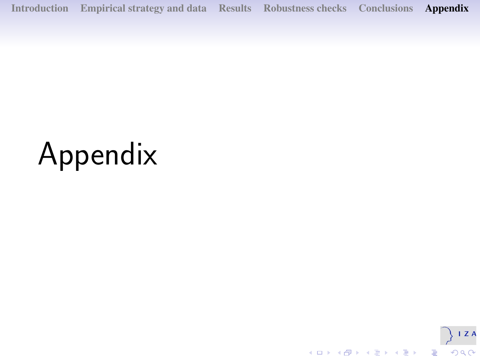[Introduction](#page-1-0) [Empirical strategy and data](#page-4-0) [Results](#page-9-0) [Robustness checks](#page-19-0) [Conclusions](#page-25-0) [Appendix](#page-27-0)

# <span id="page-27-0"></span>Appendix

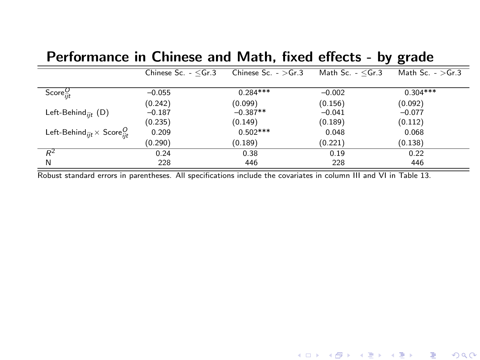|                                                               | Chinese Sc. $- <$ Gr.3 | Chinese Sc. $ >$ Gr.3 | Math Sc. $- <$ Gr.3 | Math Sc. $-$ >Gr.3 |
|---------------------------------------------------------------|------------------------|-----------------------|---------------------|--------------------|
| Score $_{ijt}^{U}$                                            | $-0.055$               | $0.284***$            | $-0.002$            | $0.304***$         |
|                                                               | (0.242)                | (0.099)               | (0.156)             | (0.092)            |
| Left-Behind <sub>iit</sub> (D)                                | $-0.187$               | $-0.387**$            | $-0.041$            | $-0.077$           |
|                                                               | (0.235)                | (0.149)               | (0.189)             | (0.112)            |
| Left-Behind <sub>iit</sub> $\times$ Score <sup><i>O</i></sup> | 0.209                  | $0.502***$            | 0.048               | 0.068              |
|                                                               | (0.290)                | (0.189)               | (0.221)             | (0.138)            |
| $R^2$                                                         | 0.24                   | 0.38                  | 0.19                | 0.22               |
| N                                                             | 228                    | 446                   | 228                 | 446                |

#### Performance in Chinese and Math, fixed effects - by grade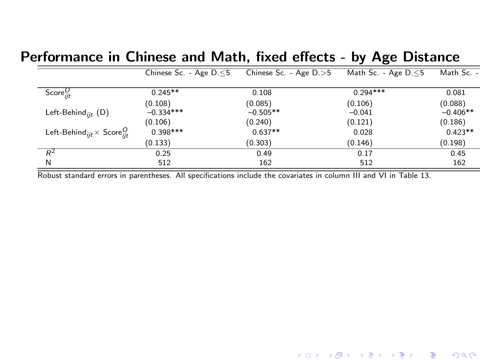#### Performance in Chinese and Math, fixed effects - by Age Distance

|                                                          | Chinese Sc. - Age $D \le 5$ | Chinese Sc. - Age $D \ge 5$ | Math Sc. - Age $D \le 5$ | Math Sc. - |
|----------------------------------------------------------|-----------------------------|-----------------------------|--------------------------|------------|
|                                                          |                             |                             |                          |            |
| Score $_{iit}^{O}$                                       | $0.245**$                   | 0.108                       | $0.294***$               | 0.081      |
|                                                          | (0.108)                     | (0.085)                     | (0.106)                  | (0.088)    |
| Left-Behind <sub>iit</sub> $(D)$                         | $-0.334***$                 | $-0.505**$                  | $-0.041$                 | $-0.406**$ |
|                                                          | (0.106)                     | (0.240)                     | (0.121)                  | (0.186)    |
| Left-Behind <sub>ijt</sub> $\times$ Score <sub>iit</sub> | $0.398***$                  | $0.637**$                   | 0.028                    | $0.423**$  |
|                                                          | (0.133)                     | (0.303)                     | (0.146)                  | (0.198)    |
| $R^2$                                                    | 0.25                        | 0.49                        | 0.17                     | 0.45       |
| N                                                        | 512                         | 162                         | 512                      | 162        |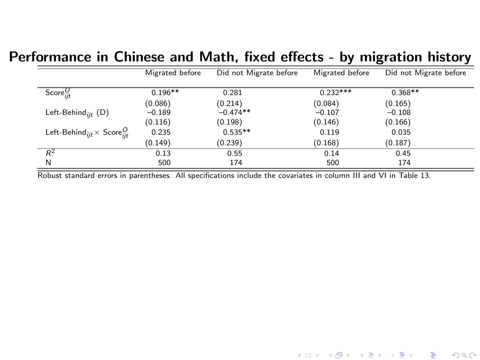#### Performance in Chinese and Math, fixed effects - by migration history

|                                                        | Migrated before | Did not Migrate before | Migrated before | Did not Migrate before |
|--------------------------------------------------------|-----------------|------------------------|-----------------|------------------------|
|                                                        |                 |                        |                 |                        |
| Score $_{iit}^{O}$                                     | $0.196**$       | 0.281                  | $0.232***$      | $0.368**$              |
|                                                        | (0.086)         | (0.214)                | (0.084)         | (0.165)                |
| Left-Behind <sub>iit</sub> (D)                         | $-0.189$        | $-0.474**$             | $-0.107$        | $-0.108$               |
|                                                        | (0.116)         | (0.198)                | (0.146)         | (0.166)                |
| Left-Behind <sub>ijt</sub> $\times$ Score $_{iit}^{O}$ | 0.235           | $0.535**$              | 0.119           | 0.035                  |
|                                                        | (0.149)         | (0.239)                | (0.168)         | (0.187)                |
| $R^2$                                                  | 0.13            | 0.55                   | 0.14            | 0.45                   |
| N                                                      | 500             | 174                    | 500             | 174                    |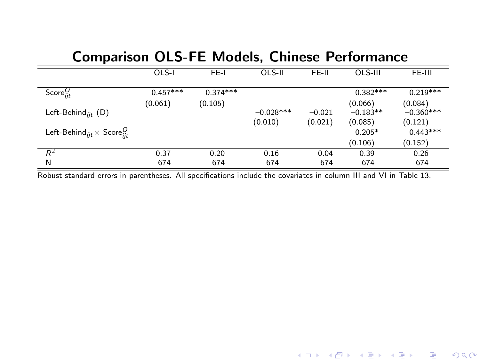## Comparison OLS-FE Models, Chinese Performance

|                                                        | OLS-I      | FE-I       | OLS-II      | FE-II    | $OLS-III$  | FE-III      |
|--------------------------------------------------------|------------|------------|-------------|----------|------------|-------------|
|                                                        |            |            |             |          |            |             |
| Score $_{ijt}^{O}$                                     | $0.457***$ | $0.374***$ |             |          | $0.382***$ | $0.219***$  |
|                                                        | (0.061)    | (0.105)    |             |          | (0.066)    | (0.084)     |
| Left-Behind <sub>iit</sub> (D)                         |            |            | $-0.028***$ | $-0.021$ | $-0.183**$ | $-0.360***$ |
|                                                        |            |            | (0.010)     | (0.021)  | (0.085)    | (0.121)     |
| Left-Behind <sub>ijt</sub> $\times$ Score $_{iit}^{O}$ |            |            |             |          | $0.205*$   | $0.443***$  |
|                                                        |            |            |             |          | (0.106)    | (0.152)     |
| $R^2$                                                  | 0.37       | 0.20       | 0.16        | 0.04     | 0.39       | 0.26        |
| N                                                      | 674        | 674        | 674         | 674      | 674        | 674         |

Robust standard errors in parentheses. All specifications include the covariates in column III and VI in Table [13.](#page-13-0)

(ロ) (御) (君) (君) (君) 君 のぬの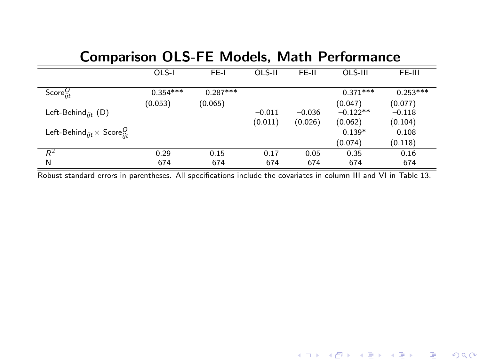| Comparison ULS-FE Models, Math Performance                    |            |            |          |          |            |            |
|---------------------------------------------------------------|------------|------------|----------|----------|------------|------------|
|                                                               | OLS-I      | FE-I       | OLS-II   | FE-II    | OLS-III    | FE-III     |
| Score $_{iit}^{U}$                                            | $0.354***$ | $0.287***$ |          |          | $0.371***$ | $0.253***$ |
|                                                               | (0.053)    | (0.065)    |          |          | (0.047)    | (0.077)    |
| Left-Behind <sub>iit</sub> (D)                                |            |            | $-0.011$ | $-0.036$ | $-0.122**$ | $-0.118$   |
|                                                               |            |            | (0.011)  | (0.026)  | (0.062)    | (0.104)    |
| Left-Behind <sub>iit</sub> $\times$ Score <sup><i>O</i></sup> |            |            |          |          | $0.139*$   | 0.108      |
|                                                               |            |            |          |          | (0.074)    | (0.118)    |
| $R^2$                                                         | 0.29       | 0.15       | 0.17     | 0.05     | 0.35       | 0.16       |
| N                                                             | 674        | 674        | 674      | 674      | 674        | 674        |

## Comparison OLS-FE Models, Math Performance

Robust standard errors in parentheses. All specifications include the covariates in column III and VI in Table [13.](#page-13-0)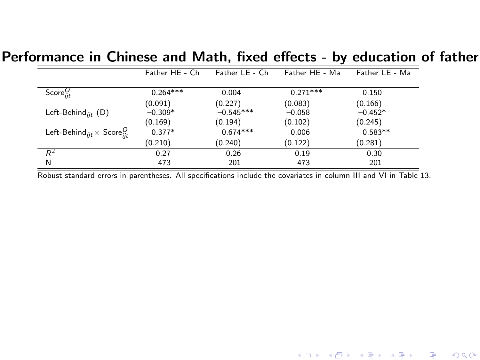#### Performance in Chinese and Math, fixed effects - by education of father

|                                                      | Father HE - Ch | Father LE - Ch | Father HE - Ma | Father LE - Ma |
|------------------------------------------------------|----------------|----------------|----------------|----------------|
|                                                      |                |                |                |                |
| Score $_{ijt}^{U}$                                   | $0.264***$     | 0.004          | $0.271***$     | 0.150          |
|                                                      | (0.091)        | (0.227)        | (0.083)        | (0.166)        |
| Left-Behind <sub>iit</sub> $(D)$                     | $-0.309*$      | $-0.545***$    | $-0.058$       | $-0.452*$      |
|                                                      | (0.169)        | (0.194)        | (0.102)        | (0.245)        |
| Left-Behind <sub>ijt</sub> $\times$ Score $_{iit}^O$ | $0.377*$       | $0.674***$     | 0.006          | $0.583**$      |
|                                                      | (0.210)        | (0.240)        | (0.122)        | (0.281)        |
| $R^2$                                                | 0.27           | 0.26           | 0.19           | 0.30           |
| N                                                    | 473            | 201            | 473            | 201            |

Robust standard errors in parentheses. All specifications include the covariates in column III and VI in Table [13.](#page-13-0)